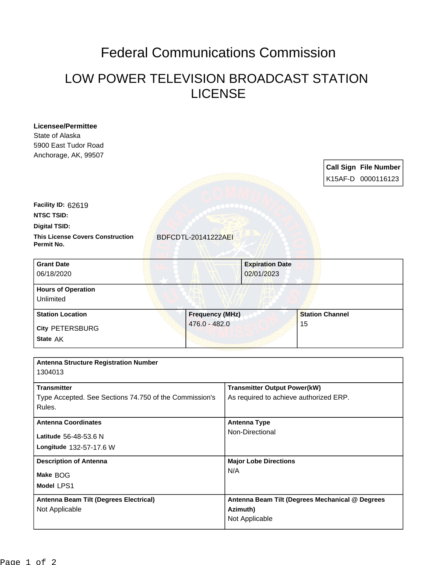## Federal Communications Commission

## LOW POWER TELEVISION BROADCAST STATION LICENSE

| <b>Licensee/Permittee</b><br>State of Alaska<br>5900 East Tudor Road<br>Anchorage, AK, 99507 |                        |                              |                                        |                                                 |    |                        | <b>Call Sign File Number</b><br>K15AF-D 0000116123 |
|----------------------------------------------------------------------------------------------|------------------------|------------------------------|----------------------------------------|-------------------------------------------------|----|------------------------|----------------------------------------------------|
| Facility ID: 62619                                                                           |                        |                              |                                        |                                                 |    |                        |                                                    |
| <b>NTSC TSID:</b>                                                                            |                        |                              |                                        |                                                 |    |                        |                                                    |
| <b>Digital TSID:</b>                                                                         |                        |                              |                                        |                                                 |    |                        |                                                    |
| <b>This License Covers Construction</b><br>Permit No.                                        |                        | BDFCDTL-20141222AEI          |                                        |                                                 |    |                        |                                                    |
| <b>Grant Date</b><br>06/18/2020                                                              |                        |                              |                                        | <b>Expiration Date</b><br>02/01/2023            |    |                        |                                                    |
| <b>Hours of Operation</b>                                                                    |                        |                              |                                        |                                                 |    |                        |                                                    |
| Unlimited                                                                                    |                        |                              |                                        |                                                 |    |                        |                                                    |
| <b>Station Location</b>                                                                      | <b>Frequency (MHz)</b> |                              |                                        |                                                 |    | <b>Station Channel</b> |                                                    |
| <b>City PETERSBURG</b>                                                                       |                        | 476.0 - 482.0                |                                        |                                                 | 15 |                        |                                                    |
| State AK                                                                                     |                        |                              |                                        |                                                 |    |                        |                                                    |
| <b>Antenna Structure Registration Number</b><br>1304013                                      |                        |                              |                                        |                                                 |    |                        |                                                    |
| <b>Transmitter</b>                                                                           |                        |                              | <b>Transmitter Output Power(kW)</b>    |                                                 |    |                        |                                                    |
| Type Accepted. See Sections 74.750 of the Commission's<br>Rules.                             |                        |                              | As required to achieve authorized ERP. |                                                 |    |                        |                                                    |
| <b>Antenna Coordinates</b>                                                                   |                        |                              | <b>Antenna Type</b>                    |                                                 |    |                        |                                                    |
| Latitude 56-48-53.6 N                                                                        |                        |                              | Non-Directional                        |                                                 |    |                        |                                                    |
| Longitude 132-57-17.6 W                                                                      |                        |                              |                                        |                                                 |    |                        |                                                    |
| <b>Description of Antenna</b>                                                                |                        | <b>Major Lobe Directions</b> |                                        |                                                 |    |                        |                                                    |
| Make BOG                                                                                     |                        |                              | N/A                                    |                                                 |    |                        |                                                    |
| Model LPS1                                                                                   |                        |                              |                                        |                                                 |    |                        |                                                    |
| <b>Antenna Beam Tilt (Degrees Electrical)</b>                                                |                        |                              |                                        | Antenna Beam Tilt (Degrees Mechanical @ Degrees |    |                        |                                                    |
| Not Applicable                                                                               |                        | Azimuth)<br>Not Applicable   |                                        |                                                 |    |                        |                                                    |